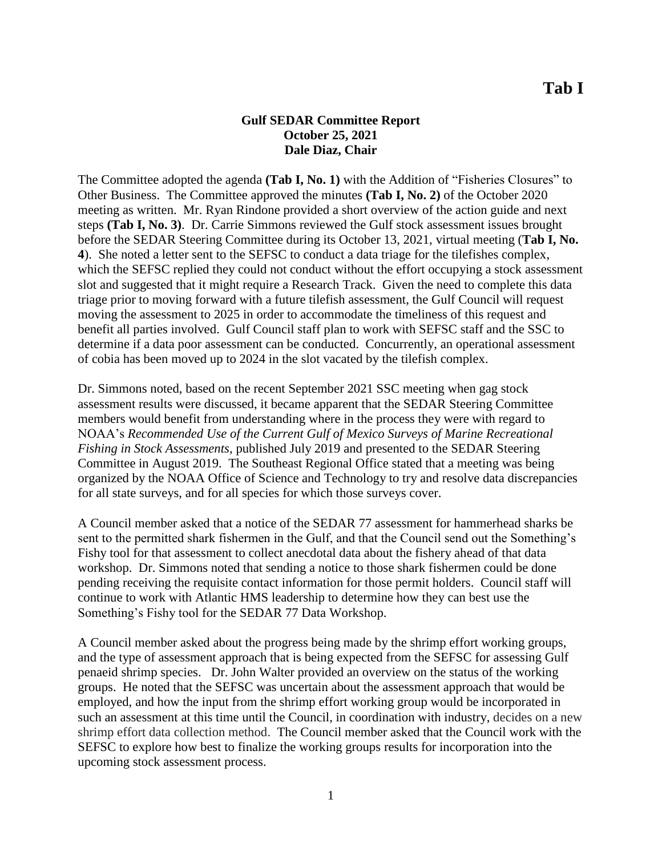## **Gulf SEDAR Committee Report October 25, 2021 Dale Diaz, Chair**

The Committee adopted the agenda **(Tab I, No. 1)** with the Addition of "Fisheries Closures" to Other Business. The Committee approved the minutes **(Tab I, No. 2)** of the October 2020 meeting as written. Mr. Ryan Rindone provided a short overview of the action guide and next steps **(Tab I, No. 3)**. Dr. Carrie Simmons reviewed the Gulf stock assessment issues brought before the SEDAR Steering Committee during its October 13, 2021, virtual meeting (**Tab I, No. 4**). She noted a letter sent to the SEFSC to conduct a data triage for the tilefishes complex, which the SEFSC replied they could not conduct without the effort occupying a stock assessment slot and suggested that it might require a Research Track. Given the need to complete this data triage prior to moving forward with a future tilefish assessment, the Gulf Council will request moving the assessment to 2025 in order to accommodate the timeliness of this request and benefit all parties involved. Gulf Council staff plan to work with SEFSC staff and the SSC to determine if a data poor assessment can be conducted. Concurrently, an operational assessment of cobia has been moved up to 2024 in the slot vacated by the tilefish complex.

Dr. Simmons noted, based on the recent September 2021 SSC meeting when gag stock assessment results were discussed, it became apparent that the SEDAR Steering Committee members would benefit from understanding where in the process they were with regard to NOAA's *Recommended Use of the Current Gulf of Mexico Surveys of Marine Recreational Fishing in Stock Assessments*, published July 2019 and presented to the SEDAR Steering Committee in August 2019. The Southeast Regional Office stated that a meeting was being organized by the NOAA Office of Science and Technology to try and resolve data discrepancies for all state surveys, and for all species for which those surveys cover.

A Council member asked that a notice of the SEDAR 77 assessment for hammerhead sharks be sent to the permitted shark fishermen in the Gulf, and that the Council send out the Something's Fishy tool for that assessment to collect anecdotal data about the fishery ahead of that data workshop. Dr. Simmons noted that sending a notice to those shark fishermen could be done pending receiving the requisite contact information for those permit holders. Council staff will continue to work with Atlantic HMS leadership to determine how they can best use the Something's Fishy tool for the SEDAR 77 Data Workshop.

A Council member asked about the progress being made by the shrimp effort working groups, and the type of assessment approach that is being expected from the SEFSC for assessing Gulf penaeid shrimp species. Dr. John Walter provided an overview on the status of the working groups. He noted that the SEFSC was uncertain about the assessment approach that would be employed, and how the input from the shrimp effort working group would be incorporated in such an assessment at this time until the Council, in coordination with industry, decides on a new shrimp effort data collection method. The Council member asked that the Council work with the SEFSC to explore how best to finalize the working groups results for incorporation into the upcoming stock assessment process.